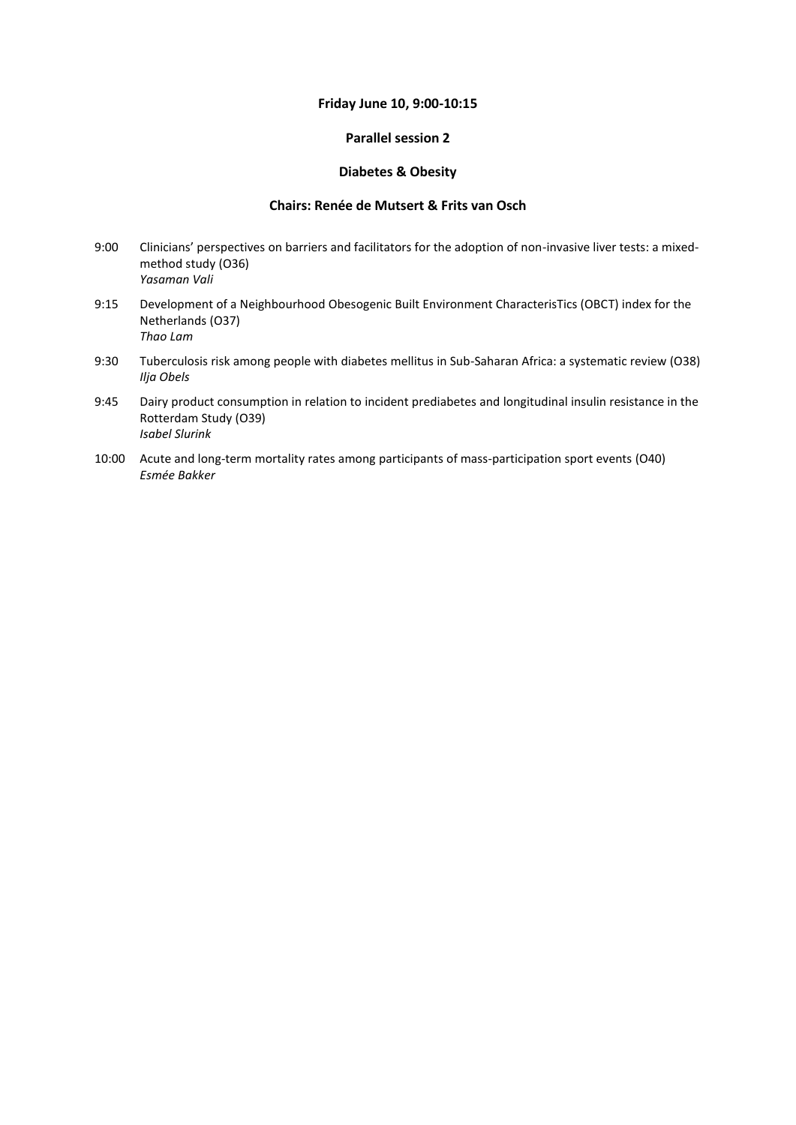#### **Friday June 10, 9:00-10:15**

### **Parallel session 2**

#### **Diabetes & Obesity**

#### **Chairs: Renée de Mutsert & Frits van Osch**

- 9:00 Clinicians' perspectives on barriers and facilitators for the adoption of non-invasive liver tests: a mixedmethod study (O36) *Yasaman Vali*
- 9:15 Development of a Neighbourhood Obesogenic Built Environment CharacterisTics (OBCT) index for the Netherlands (O37) *Thao Lam*
- 9:30 Tuberculosis risk among people with diabetes mellitus in Sub-Saharan Africa: a systematic review (O38) *Ilja Obels*
- 9:45 Dairy product consumption in relation to incident prediabetes and longitudinal insulin resistance in the Rotterdam Study (O39) *Isabel Slurink*
- 10:00 Acute and long-term mortality rates among participants of mass-participation sport events (O40) *Esmée Bakker*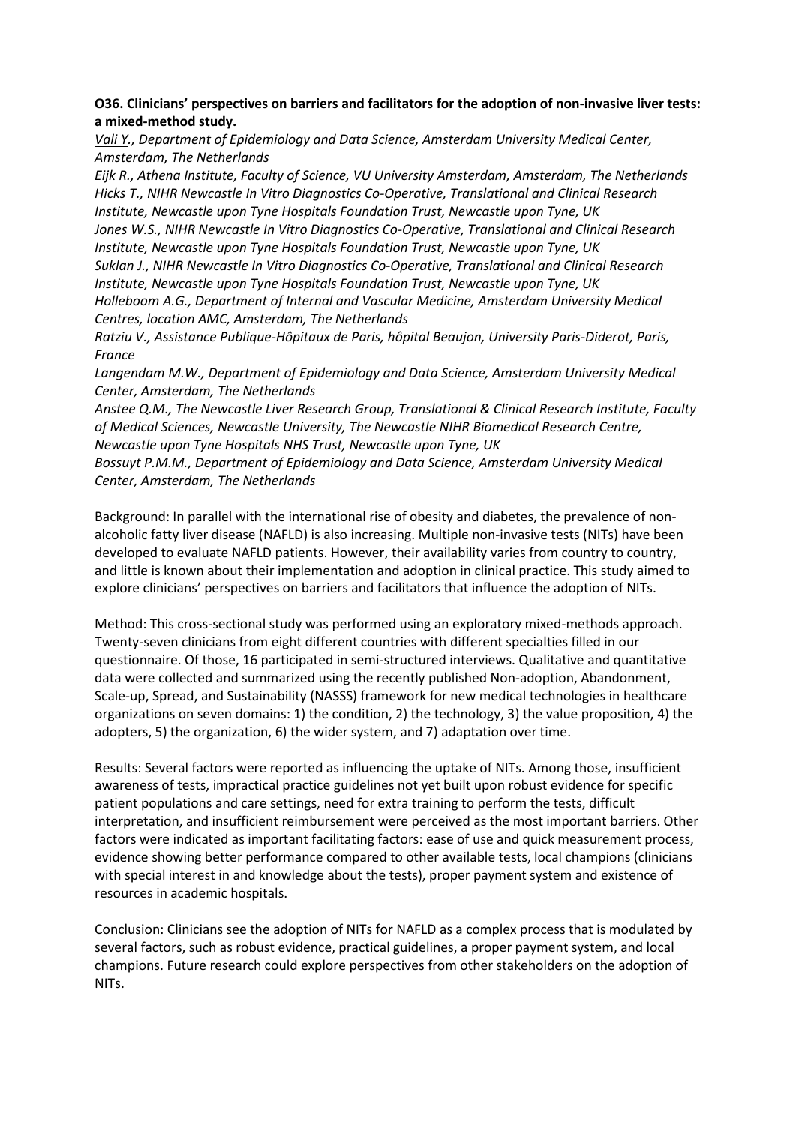## **O36. Clinicians' perspectives on barriers and facilitators for the adoption of non-invasive liver tests: a mixed-method study.**

*Vali Y., Department of Epidemiology and Data Science, Amsterdam University Medical Center, Amsterdam, The Netherlands*

*Eijk R., Athena Institute, Faculty of Science, VU University Amsterdam, Amsterdam, The Netherlands Hicks T., NIHR Newcastle In Vitro Diagnostics Co-Operative, Translational and Clinical Research Institute, Newcastle upon Tyne Hospitals Foundation Trust, Newcastle upon Tyne, UK Jones W.S., NIHR Newcastle In Vitro Diagnostics Co-Operative, Translational and Clinical Research Institute, Newcastle upon Tyne Hospitals Foundation Trust, Newcastle upon Tyne, UK*

*Suklan J., NIHR Newcastle In Vitro Diagnostics Co-Operative, Translational and Clinical Research Institute, Newcastle upon Tyne Hospitals Foundation Trust, Newcastle upon Tyne, UK Holleboom A.G., Department of Internal and Vascular Medicine, Amsterdam University Medical* 

*Centres, location AMC, Amsterdam, The Netherlands*

*Ratziu V., Assistance Publique-Hôpitaux de Paris, hôpital Beaujon, University Paris-Diderot, Paris, France*

*Langendam M.W., Department of Epidemiology and Data Science, Amsterdam University Medical Center, Amsterdam, The Netherlands*

*Anstee Q.M., The Newcastle Liver Research Group, Translational & Clinical Research Institute, Faculty of Medical Sciences, Newcastle University, The Newcastle NIHR Biomedical Research Centre, Newcastle upon Tyne Hospitals NHS Trust, Newcastle upon Tyne, UK*

*Bossuyt P.M.M., Department of Epidemiology and Data Science, Amsterdam University Medical Center, Amsterdam, The Netherlands*

Background: In parallel with the international rise of obesity and diabetes, the prevalence of nonalcoholic fatty liver disease (NAFLD) is also increasing. Multiple non-invasive tests (NITs) have been developed to evaluate NAFLD patients. However, their availability varies from country to country, and little is known about their implementation and adoption in clinical practice. This study aimed to explore clinicians' perspectives on barriers and facilitators that influence the adoption of NITs.

Method: This cross-sectional study was performed using an exploratory mixed-methods approach. Twenty-seven clinicians from eight different countries with different specialties filled in our questionnaire. Of those, 16 participated in semi-structured interviews. Qualitative and quantitative data were collected and summarized using the recently published Non-adoption, Abandonment, Scale-up, Spread, and Sustainability (NASSS) framework for new medical technologies in healthcare organizations on seven domains: 1) the condition, 2) the technology, 3) the value proposition, 4) the adopters, 5) the organization, 6) the wider system, and 7) adaptation over time.

Results: Several factors were reported as influencing the uptake of NITs. Among those, insufficient awareness of tests, impractical practice guidelines not yet built upon robust evidence for specific patient populations and care settings, need for extra training to perform the tests, difficult interpretation, and insufficient reimbursement were perceived as the most important barriers. Other factors were indicated as important facilitating factors: ease of use and quick measurement process, evidence showing better performance compared to other available tests, local champions (clinicians with special interest in and knowledge about the tests), proper payment system and existence of resources in academic hospitals.

Conclusion: Clinicians see the adoption of NITs for NAFLD as a complex process that is modulated by several factors, such as robust evidence, practical guidelines, a proper payment system, and local champions. Future research could explore perspectives from other stakeholders on the adoption of NITs.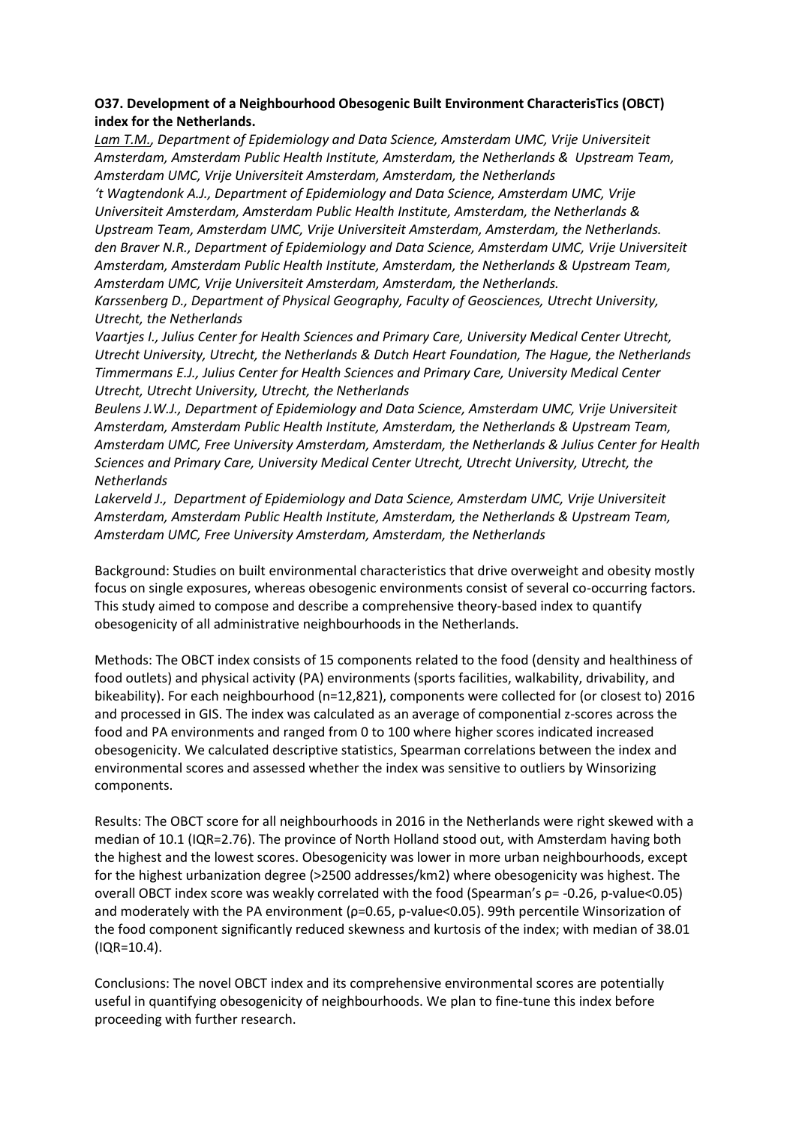# **O37. Development of a Neighbourhood Obesogenic Built Environment CharacterisTics (OBCT) index for the Netherlands.**

Lam T.M., Department of Epidemiology and Data Science, Amsterdam UMC, Vrije Universiteit *Amsterdam, Amsterdam Public Health Institute, Amsterdam, the Netherlands & Upstream Team, Amsterdam UMC, Vrije Universiteit Amsterdam, Amsterdam, the Netherlands*

*'t Wagtendonk A.J., Department of Epidemiology and Data Science, Amsterdam UMC, Vrije Universiteit Amsterdam, Amsterdam Public Health Institute, Amsterdam, the Netherlands & Upstream Team, Amsterdam UMC, Vrije Universiteit Amsterdam, Amsterdam, the Netherlands. den Braver N.R., Department of Epidemiology and Data Science, Amsterdam UMC, Vrije Universiteit Amsterdam, Amsterdam Public Health Institute, Amsterdam, the Netherlands & Upstream Team, Amsterdam UMC, Vrije Universiteit Amsterdam, Amsterdam, the Netherlands.*

*Karssenberg D., Department of Physical Geography, Faculty of Geosciences, Utrecht University, Utrecht, the Netherlands*

*Vaartjes I., Julius Center for Health Sciences and Primary Care, University Medical Center Utrecht, Utrecht University, Utrecht, the Netherlands & Dutch Heart Foundation, The Hague, the Netherlands Timmermans E.J., Julius Center for Health Sciences and Primary Care, University Medical Center Utrecht, Utrecht University, Utrecht, the Netherlands*

*Beulens J.W.J., Department of Epidemiology and Data Science, Amsterdam UMC, Vrije Universiteit Amsterdam, Amsterdam Public Health Institute, Amsterdam, the Netherlands & Upstream Team, Amsterdam UMC, Free University Amsterdam, Amsterdam, the Netherlands & Julius Center for Health Sciences and Primary Care, University Medical Center Utrecht, Utrecht University, Utrecht, the Netherlands*

*Lakerveld J., Department of Epidemiology and Data Science, Amsterdam UMC, Vrije Universiteit Amsterdam, Amsterdam Public Health Institute, Amsterdam, the Netherlands & Upstream Team, Amsterdam UMC, Free University Amsterdam, Amsterdam, the Netherlands*

Background: Studies on built environmental characteristics that drive overweight and obesity mostly focus on single exposures, whereas obesogenic environments consist of several co-occurring factors. This study aimed to compose and describe a comprehensive theory-based index to quantify obesogenicity of all administrative neighbourhoods in the Netherlands.

Methods: The OBCT index consists of 15 components related to the food (density and healthiness of food outlets) and physical activity (PA) environments (sports facilities, walkability, drivability, and bikeability). For each neighbourhood (n=12,821), components were collected for (or closest to) 2016 and processed in GIS. The index was calculated as an average of componential z-scores across the food and PA environments and ranged from 0 to 100 where higher scores indicated increased obesogenicity. We calculated descriptive statistics, Spearman correlations between the index and environmental scores and assessed whether the index was sensitive to outliers by Winsorizing components.

Results: The OBCT score for all neighbourhoods in 2016 in the Netherlands were right skewed with a median of 10.1 (IQR=2.76). The province of North Holland stood out, with Amsterdam having both the highest and the lowest scores. Obesogenicity was lower in more urban neighbourhoods, except for the highest urbanization degree (>2500 addresses/km2) where obesogenicity was highest. The overall OBCT index score was weakly correlated with the food (Spearman's ρ= -0.26, p-value<0.05) and moderately with the PA environment (ρ=0.65, p-value<0.05). 99th percentile Winsorization of the food component significantly reduced skewness and kurtosis of the index; with median of 38.01 (IQR=10.4).

Conclusions: The novel OBCT index and its comprehensive environmental scores are potentially useful in quantifying obesogenicity of neighbourhoods. We plan to fine-tune this index before proceeding with further research.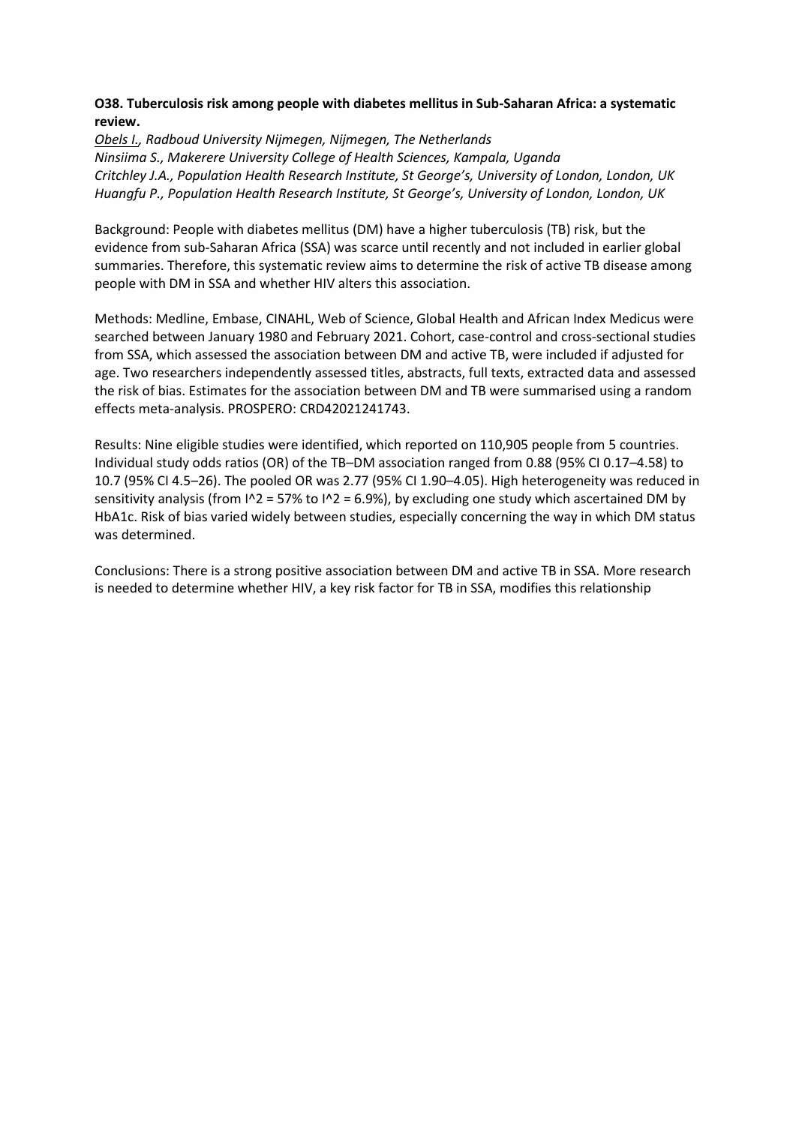## **O38. Tuberculosis risk among people with diabetes mellitus in Sub-Saharan Africa: a systematic review.**

*Obels I., Radboud University Nijmegen, Nijmegen, The Netherlands Ninsiima S., Makerere University College of Health Sciences, Kampala, Uganda Critchley J.A., Population Health Research Institute, St George's, University of London, London, UK Huangfu P., Population Health Research Institute, St George's, University of London, London, UK*

Background: People with diabetes mellitus (DM) have a higher tuberculosis (TB) risk, but the evidence from sub-Saharan Africa (SSA) was scarce until recently and not included in earlier global summaries. Therefore, this systematic review aims to determine the risk of active TB disease among people with DM in SSA and whether HIV alters this association.

Methods: Medline, Embase, CINAHL, Web of Science, Global Health and African Index Medicus were searched between January 1980 and February 2021. Cohort, case-control and cross-sectional studies from SSA, which assessed the association between DM and active TB, were included if adjusted for age. Two researchers independently assessed titles, abstracts, full texts, extracted data and assessed the risk of bias. Estimates for the association between DM and TB were summarised using a random effects meta-analysis. PROSPERO: CRD42021241743.

Results: Nine eligible studies were identified, which reported on 110,905 people from 5 countries. Individual study odds ratios (OR) of the TB–DM association ranged from 0.88 (95% CI 0.17–4.58) to 10.7 (95% CI 4.5–26). The pooled OR was 2.77 (95% CI 1.90–4.05). High heterogeneity was reduced in sensitivity analysis (from  $1^2$  = 57% to  $1^2$  = 6.9%), by excluding one study which ascertained DM by HbA1c. Risk of bias varied widely between studies, especially concerning the way in which DM status was determined.

Conclusions: There is a strong positive association between DM and active TB in SSA. More research is needed to determine whether HIV, a key risk factor for TB in SSA, modifies this relationship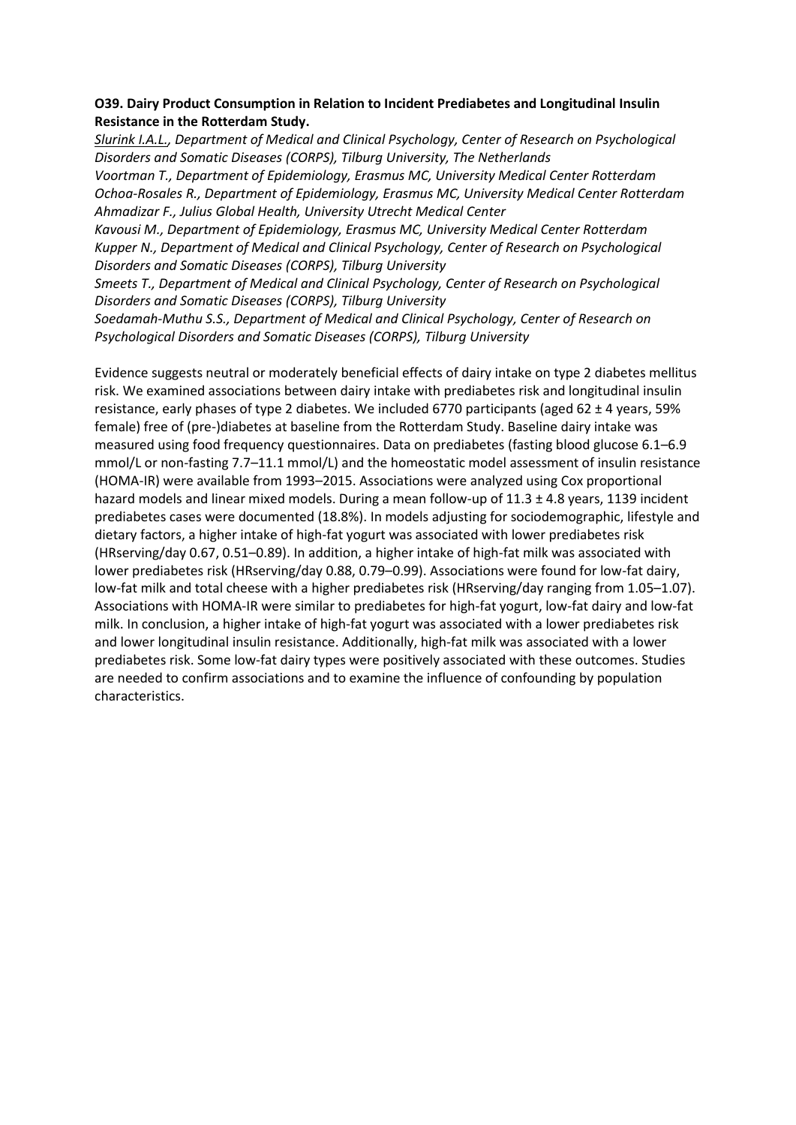## **O39. Dairy Product Consumption in Relation to Incident Prediabetes and Longitudinal Insulin Resistance in the Rotterdam Study.**

*Slurink I.A.L., Department of Medical and Clinical Psychology, Center of Research on Psychological Disorders and Somatic Diseases (CORPS), Tilburg University, The Netherlands Voortman T., Department of Epidemiology, Erasmus MC, University Medical Center Rotterdam Ochoa-Rosales R., Department of Epidemiology, Erasmus MC, University Medical Center Rotterdam Ahmadizar F., Julius Global Health, University Utrecht Medical Center*

*Kavousi M., Department of Epidemiology, Erasmus MC, University Medical Center Rotterdam Kupper N., Department of Medical and Clinical Psychology, Center of Research on Psychological Disorders and Somatic Diseases (CORPS), Tilburg University*

*Smeets T., Department of Medical and Clinical Psychology, Center of Research on Psychological Disorders and Somatic Diseases (CORPS), Tilburg University*

*Soedamah-Muthu S.S., Department of Medical and Clinical Psychology, Center of Research on Psychological Disorders and Somatic Diseases (CORPS), Tilburg University*

Evidence suggests neutral or moderately beneficial effects of dairy intake on type 2 diabetes mellitus risk. We examined associations between dairy intake with prediabetes risk and longitudinal insulin resistance, early phases of type 2 diabetes. We included 6770 participants (aged 62 ± 4 years, 59% female) free of (pre-)diabetes at baseline from the Rotterdam Study. Baseline dairy intake was measured using food frequency questionnaires. Data on prediabetes (fasting blood glucose 6.1–6.9 mmol/L or non-fasting 7.7–11.1 mmol/L) and the homeostatic model assessment of insulin resistance (HOMA-IR) were available from 1993–2015. Associations were analyzed using Cox proportional hazard models and linear mixed models. During a mean follow-up of 11.3 ± 4.8 years, 1139 incident prediabetes cases were documented (18.8%). In models adjusting for sociodemographic, lifestyle and dietary factors, a higher intake of high-fat yogurt was associated with lower prediabetes risk (HRserving/day 0.67, 0.51–0.89). In addition, a higher intake of high-fat milk was associated with lower prediabetes risk (HRserving/day 0.88, 0.79–0.99). Associations were found for low-fat dairy, low-fat milk and total cheese with a higher prediabetes risk (HRserving/day ranging from 1.05–1.07). Associations with HOMA-IR were similar to prediabetes for high-fat yogurt, low-fat dairy and low-fat milk. In conclusion, a higher intake of high-fat yogurt was associated with a lower prediabetes risk and lower longitudinal insulin resistance. Additionally, high-fat milk was associated with a lower prediabetes risk. Some low-fat dairy types were positively associated with these outcomes. Studies are needed to confirm associations and to examine the influence of confounding by population characteristics.